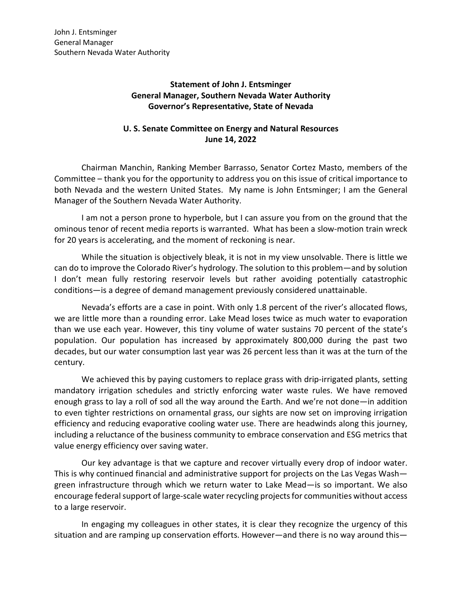## **Statement of John J. Entsminger General Manager, Southern Nevada Water Authority Governor's Representative, State of Nevada**

## **U. S. Senate Committee on Energy and Natural Resources June 14, 2022**

Chairman Manchin, Ranking Member Barrasso, Senator Cortez Masto, members of the Committee – thank you for the opportunity to address you on this issue of critical importance to both Nevada and the western United States. My name is John Entsminger; I am the General Manager of the Southern Nevada Water Authority.

I am not a person prone to hyperbole, but I can assure you from on the ground that the ominous tenor of recent media reports is warranted. What has been a slow-motion train wreck for 20 years is accelerating, and the moment of reckoning is near.

While the situation is objectively bleak, it is not in my view unsolvable. There is little we can do to improve the Colorado River's hydrology. The solution to this problem—and by solution I don't mean fully restoring reservoir levels but rather avoiding potentially catastrophic conditions—is a degree of demand management previously considered unattainable.

Nevada's efforts are a case in point. With only 1.8 percent of the river's allocated flows, we are little more than a rounding error. Lake Mead loses twice as much water to evaporation than we use each year. However, this tiny volume of water sustains 70 percent of the state's population. Our population has increased by approximately 800,000 during the past two decades, but our water consumption last year was 26 percent less than it was at the turn of the century.

We achieved this by paying customers to replace grass with drip-irrigated plants, setting mandatory irrigation schedules and strictly enforcing water waste rules. We have removed enough grass to lay a roll of sod all the way around the Earth. And we're not done—in addition to even tighter restrictions on ornamental grass, our sights are now set on improving irrigation efficiency and reducing evaporative cooling water use. There are headwinds along this journey, including a reluctance of the business community to embrace conservation and ESG metrics that value energy efficiency over saving water.

Our key advantage is that we capture and recover virtually every drop of indoor water. This is why continued financial and administrative support for projects on the Las Vegas Wash green infrastructure through which we return water to Lake Mead—is so important. We also encourage federal support of large-scale water recycling projectsfor communities without access to a large reservoir.

In engaging my colleagues in other states, it is clear they recognize the urgency of this situation and are ramping up conservation efforts. However—and there is no way around this